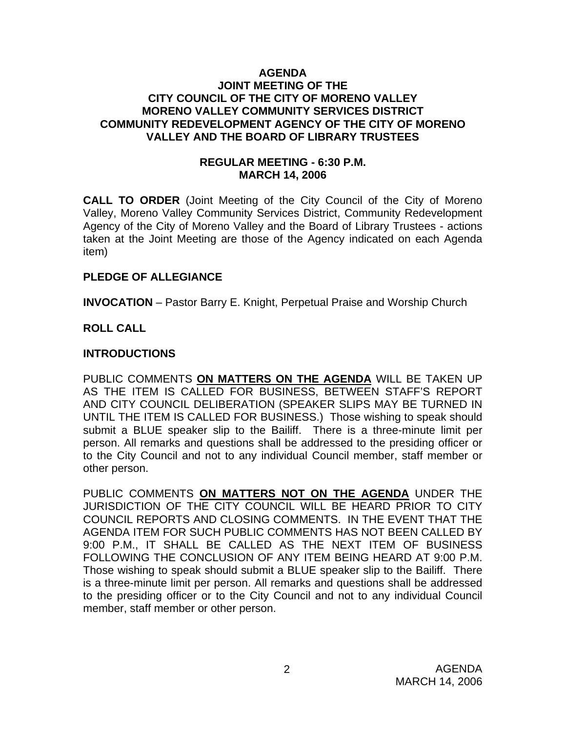### **AGENDA JOINT MEETING OF THE CITY COUNCIL OF THE CITY OF MORENO VALLEY MORENO VALLEY COMMUNITY SERVICES DISTRICT COMMUNITY REDEVELOPMENT AGENCY OF THE CITY OF MORENO VALLEY AND THE BOARD OF LIBRARY TRUSTEES**

### **REGULAR MEETING - 6:30 P.M. MARCH 14, 2006**

**CALL TO ORDER** (Joint Meeting of the City Council of the City of Moreno Valley, Moreno Valley Community Services District, Community Redevelopment Agency of the City of Moreno Valley and the Board of Library Trustees - actions taken at the Joint Meeting are those of the Agency indicated on each Agenda item)

### **PLEDGE OF ALLEGIANCE**

**INVOCATION** – Pastor Barry E. Knight, Perpetual Praise and Worship Church

### **ROLL CALL**

#### **INTRODUCTIONS**

PUBLIC COMMENTS **ON MATTERS ON THE AGENDA** WILL BE TAKEN UP AS THE ITEM IS CALLED FOR BUSINESS, BETWEEN STAFF'S REPORT AND CITY COUNCIL DELIBERATION (SPEAKER SLIPS MAY BE TURNED IN UNTIL THE ITEM IS CALLED FOR BUSINESS.) Those wishing to speak should submit a BLUE speaker slip to the Bailiff. There is a three-minute limit per person. All remarks and questions shall be addressed to the presiding officer or to the City Council and not to any individual Council member, staff member or other person.

PUBLIC COMMENTS **ON MATTERS NOT ON THE AGENDA** UNDER THE JURISDICTION OF THE CITY COUNCIL WILL BE HEARD PRIOR TO CITY COUNCIL REPORTS AND CLOSING COMMENTS. IN THE EVENT THAT THE AGENDA ITEM FOR SUCH PUBLIC COMMENTS HAS NOT BEEN CALLED BY 9:00 P.M., IT SHALL BE CALLED AS THE NEXT ITEM OF BUSINESS FOLLOWING THE CONCLUSION OF ANY ITEM BEING HEARD AT 9:00 P.M. Those wishing to speak should submit a BLUE speaker slip to the Bailiff. There is a three-minute limit per person. All remarks and questions shall be addressed to the presiding officer or to the City Council and not to any individual Council member, staff member or other person.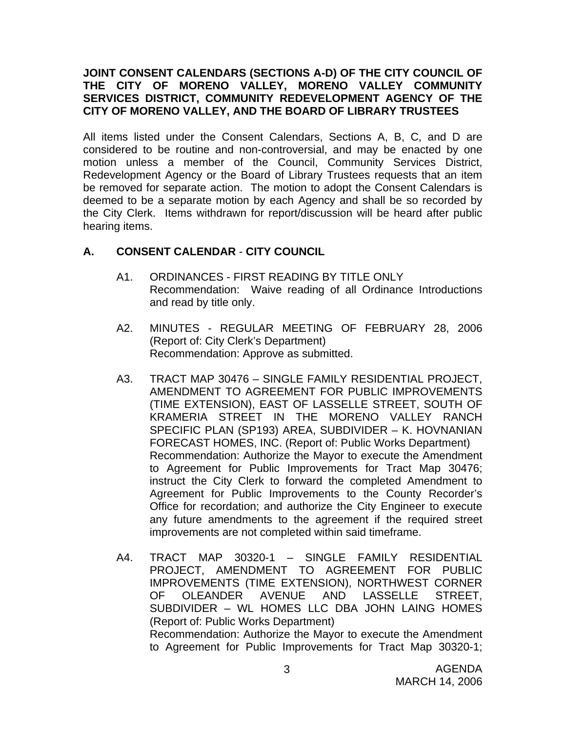### **JOINT CONSENT CALENDARS (SECTIONS A-D) OF THE CITY COUNCIL OF THE CITY OF MORENO VALLEY, MORENO VALLEY COMMUNITY SERVICES DISTRICT, COMMUNITY REDEVELOPMENT AGENCY OF THE CITY OF MORENO VALLEY, AND THE BOARD OF LIBRARY TRUSTEES**

All items listed under the Consent Calendars, Sections A, B, C, and D are considered to be routine and non-controversial, and may be enacted by one motion unless a member of the Council, Community Services District, Redevelopment Agency or the Board of Library Trustees requests that an item be removed for separate action. The motion to adopt the Consent Calendars is deemed to be a separate motion by each Agency and shall be so recorded by the City Clerk. Items withdrawn for report/discussion will be heard after public hearing items.

# **A. CONSENT CALENDAR** - **CITY COUNCIL**

- A1. ORDINANCES FIRST READING BY TITLE ONLY Recommendation: Waive reading of all Ordinance Introductions and read by title only.
- A2. MINUTES REGULAR MEETING OF FEBRUARY 28, 2006 (Report of: City Clerk's Department) Recommendation: Approve as submitted.
- A3. TRACT MAP 30476 SINGLE FAMILY RESIDENTIAL PROJECT, AMENDMENT TO AGREEMENT FOR PUBLIC IMPROVEMENTS (TIME EXTENSION), EAST OF LASSELLE STREET, SOUTH OF KRAMERIA STREET IN THE MORENO VALLEY RANCH SPECIFIC PLAN (SP193) AREA, SUBDIVIDER – K. HOVNANIAN FORECAST HOMES, INC. (Report of: Public Works Department) Recommendation: Authorize the Mayor to execute the Amendment to Agreement for Public Improvements for Tract Map 30476; instruct the City Clerk to forward the completed Amendment to Agreement for Public Improvements to the County Recorder's Office for recordation; and authorize the City Engineer to execute any future amendments to the agreement if the required street improvements are not completed within said timeframe.
- A4. TRACT MAP 30320-1 SINGLE FAMILY RESIDENTIAL PROJECT, AMENDMENT TO AGREEMENT FOR PUBLIC IMPROVEMENTS (TIME EXTENSION), NORTHWEST CORNER OF OLEANDER AVENUE AND LASSELLE STREET, SUBDIVIDER – WL HOMES LLC DBA JOHN LAING HOMES (Report of: Public Works Department) Recommendation: Authorize the Mayor to execute the Amendment to Agreement for Public Improvements for Tract Map 30320-1;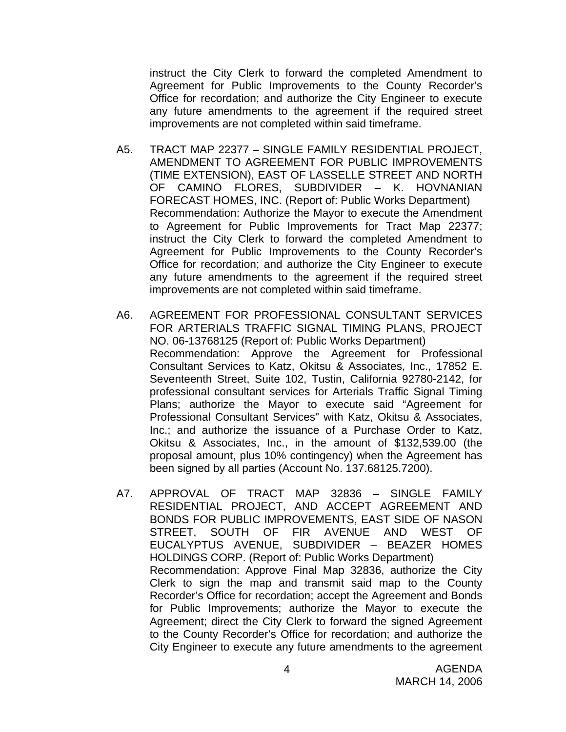instruct the City Clerk to forward the completed Amendment to Agreement for Public Improvements to the County Recorder's Office for recordation; and authorize the City Engineer to execute any future amendments to the agreement if the required street improvements are not completed within said timeframe.

- A5. TRACT MAP 22377 SINGLE FAMILY RESIDENTIAL PROJECT, AMENDMENT TO AGREEMENT FOR PUBLIC IMPROVEMENTS (TIME EXTENSION), EAST OF LASSELLE STREET AND NORTH OF CAMINO FLORES, SUBDIVIDER – K. HOVNANIAN FORECAST HOMES, INC. (Report of: Public Works Department) Recommendation: Authorize the Mayor to execute the Amendment to Agreement for Public Improvements for Tract Map 22377; instruct the City Clerk to forward the completed Amendment to Agreement for Public Improvements to the County Recorder's Office for recordation; and authorize the City Engineer to execute any future amendments to the agreement if the required street improvements are not completed within said timeframe.
- A6. AGREEMENT FOR PROFESSIONAL CONSULTANT SERVICES FOR ARTERIALS TRAFFIC SIGNAL TIMING PLANS, PROJECT NO. 06-13768125 (Report of: Public Works Department) Recommendation: Approve the Agreement for Professional Consultant Services to Katz, Okitsu & Associates, Inc., 17852 E. Seventeenth Street, Suite 102, Tustin, California 92780-2142, for professional consultant services for Arterials Traffic Signal Timing Plans; authorize the Mayor to execute said "Agreement for Professional Consultant Services" with Katz, Okitsu & Associates, Inc.; and authorize the issuance of a Purchase Order to Katz, Okitsu & Associates, Inc., in the amount of \$132,539.00 (the proposal amount, plus 10% contingency) when the Agreement has been signed by all parties (Account No. 137.68125.7200).
- A7. APPROVAL OF TRACT MAP 32836 SINGLE FAMILY RESIDENTIAL PROJECT, AND ACCEPT AGREEMENT AND BONDS FOR PUBLIC IMPROVEMENTS, EAST SIDE OF NASON STREET, SOUTH OF FIR AVENUE AND WEST OF EUCALYPTUS AVENUE, SUBDIVIDER – BEAZER HOMES HOLDINGS CORP. (Report of: Public Works Department) Recommendation: Approve Final Map 32836, authorize the City Clerk to sign the map and transmit said map to the County Recorder's Office for recordation; accept the Agreement and Bonds for Public Improvements; authorize the Mayor to execute the Agreement; direct the City Clerk to forward the signed Agreement to the County Recorder's Office for recordation; and authorize the City Engineer to execute any future amendments to the agreement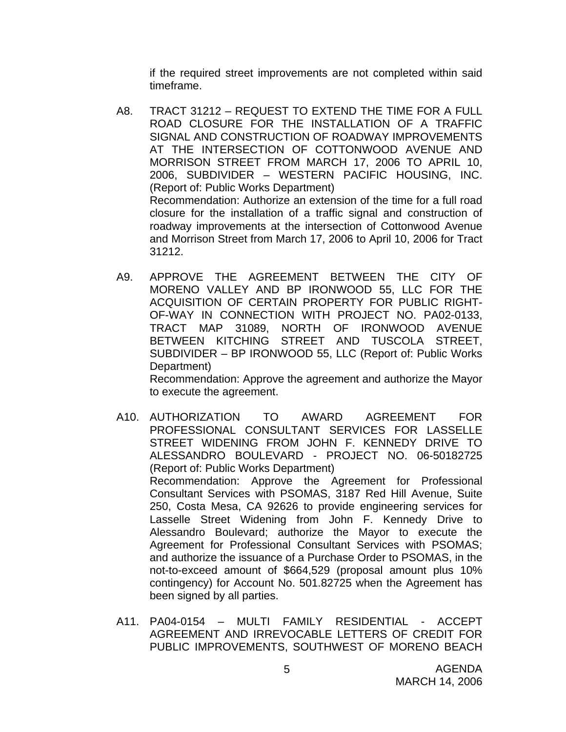if the required street improvements are not completed within said timeframe.

- A8. TRACT 31212 REQUEST TO EXTEND THE TIME FOR A FULL ROAD CLOSURE FOR THE INSTALLATION OF A TRAFFIC SIGNAL AND CONSTRUCTION OF ROADWAY IMPROVEMENTS AT THE INTERSECTION OF COTTONWOOD AVENUE AND MORRISON STREET FROM MARCH 17, 2006 TO APRIL 10, 2006, SUBDIVIDER – WESTERN PACIFIC HOUSING, INC. (Report of: Public Works Department) Recommendation: Authorize an extension of the time for a full road closure for the installation of a traffic signal and construction of roadway improvements at the intersection of Cottonwood Avenue and Morrison Street from March 17, 2006 to April 10, 2006 for Tract 31212.
- A9. APPROVE THE AGREEMENT BETWEEN THE CITY OF MORENO VALLEY AND BP IRONWOOD 55, LLC FOR THE ACQUISITION OF CERTAIN PROPERTY FOR PUBLIC RIGHT-OF-WAY IN CONNECTION WITH PROJECT NO. PA02-0133, TRACT MAP 31089, NORTH OF IRONWOOD AVENUE BETWEEN KITCHING STREET AND TUSCOLA STREET, SUBDIVIDER – BP IRONWOOD 55, LLC (Report of: Public Works Department)

 Recommendation: Approve the agreement and authorize the Mayor to execute the agreement.

- A10. AUTHORIZATION TO AWARD AGREEMENT FOR PROFESSIONAL CONSULTANT SERVICES FOR LASSELLE STREET WIDENING FROM JOHN F. KENNEDY DRIVE TO ALESSANDRO BOULEVARD - PROJECT NO. 06-50182725 (Report of: Public Works Department) Recommendation: Approve the Agreement for Professional Consultant Services with PSOMAS, 3187 Red Hill Avenue, Suite 250, Costa Mesa, CA 92626 to provide engineering services for Lasselle Street Widening from John F. Kennedy Drive to Alessandro Boulevard; authorize the Mayor to execute the Agreement for Professional Consultant Services with PSOMAS; and authorize the issuance of a Purchase Order to PSOMAS, in the not-to-exceed amount of \$664,529 (proposal amount plus 10% contingency) for Account No. 501.82725 when the Agreement has been signed by all parties.
- A11. PA04-0154 MULTI FAMILY RESIDENTIAL ACCEPT AGREEMENT AND IRREVOCABLE LETTERS OF CREDIT FOR PUBLIC IMPROVEMENTS, SOUTHWEST OF MORENO BEACH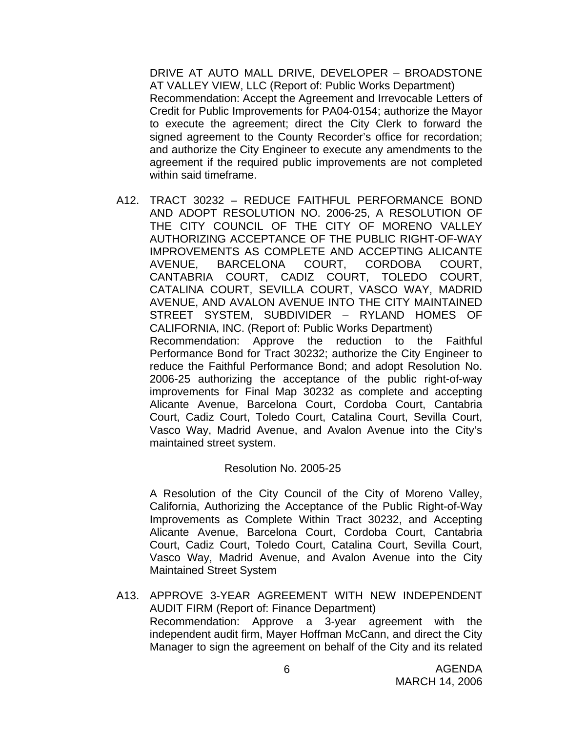DRIVE AT AUTO MALL DRIVE, DEVELOPER – BROADSTONE AT VALLEY VIEW, LLC (Report of: Public Works Department) Recommendation: Accept the Agreement and Irrevocable Letters of Credit for Public Improvements for PA04-0154; authorize the Mayor to execute the agreement; direct the City Clerk to forward the signed agreement to the County Recorder's office for recordation; and authorize the City Engineer to execute any amendments to the agreement if the required public improvements are not completed within said timeframe.

A12. TRACT 30232 – REDUCE FAITHFUL PERFORMANCE BOND AND ADOPT RESOLUTION NO. 2006-25, A RESOLUTION OF THE CITY COUNCIL OF THE CITY OF MORENO VALLEY AUTHORIZING ACCEPTANCE OF THE PUBLIC RIGHT-OF-WAY IMPROVEMENTS AS COMPLETE AND ACCEPTING ALICANTE AVENUE, BARCELONA COURT, CORDOBA COURT, CANTABRIA COURT, CADIZ COURT, TOLEDO COURT, CATALINA COURT, SEVILLA COURT, VASCO WAY, MADRID AVENUE, AND AVALON AVENUE INTO THE CITY MAINTAINED STREET SYSTEM, SUBDIVIDER – RYLAND HOMES OF CALIFORNIA, INC. (Report of: Public Works Department) Recommendation: Approve the reduction to the Faithful Performance Bond for Tract 30232; authorize the City Engineer to reduce the Faithful Performance Bond; and adopt Resolution No. 2006-25 authorizing the acceptance of the public right-of-way improvements for Final Map 30232 as complete and accepting Alicante Avenue, Barcelona Court, Cordoba Court, Cantabria Court, Cadiz Court, Toledo Court, Catalina Court, Sevilla Court, Vasco Way, Madrid Avenue, and Avalon Avenue into the City's maintained street system.

#### Resolution No. 2005-25

A Resolution of the City Council of the City of Moreno Valley, California, Authorizing the Acceptance of the Public Right-of-Way Improvements as Complete Within Tract 30232, and Accepting Alicante Avenue, Barcelona Court, Cordoba Court, Cantabria Court, Cadiz Court, Toledo Court, Catalina Court, Sevilla Court, Vasco Way, Madrid Avenue, and Avalon Avenue into the City Maintained Street System

A13. APPROVE 3-YEAR AGREEMENT WITH NEW INDEPENDENT AUDIT FIRM (Report of: Finance Department) Recommendation: Approve a 3-year agreement with the independent audit firm, Mayer Hoffman McCann, and direct the City Manager to sign the agreement on behalf of the City and its related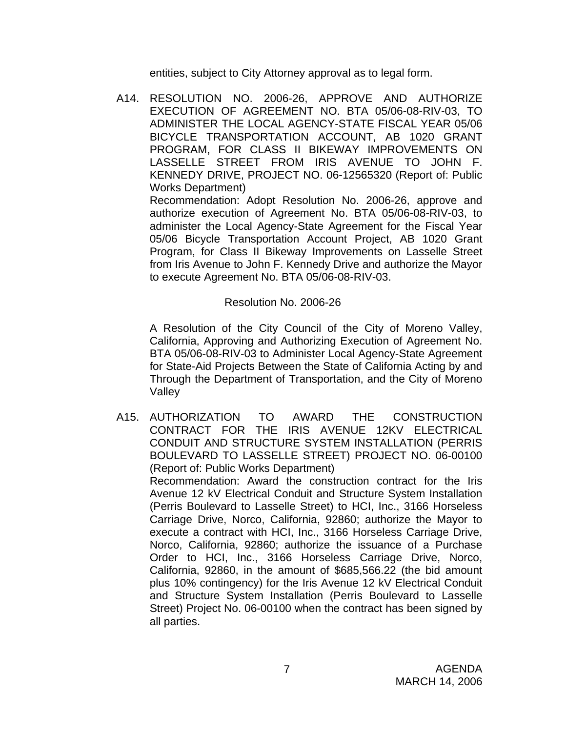entities, subject to City Attorney approval as to legal form.

A14. RESOLUTION NO. 2006-26, APPROVE AND AUTHORIZE EXECUTION OF AGREEMENT NO. BTA 05/06-08-RIV-03, TO ADMINISTER THE LOCAL AGENCY-STATE FISCAL YEAR 05/06 BICYCLE TRANSPORTATION ACCOUNT, AB 1020 GRANT PROGRAM, FOR CLASS II BIKEWAY IMPROVEMENTS ON LASSELLE STREET FROM IRIS AVENUE TO JOHN F. KENNEDY DRIVE, PROJECT NO. 06-12565320 (Report of: Public Works Department)

 Recommendation: Adopt Resolution No. 2006-26, approve and authorize execution of Agreement No. BTA 05/06-08-RIV-03, to administer the Local Agency-State Agreement for the Fiscal Year 05/06 Bicycle Transportation Account Project, AB 1020 Grant Program, for Class II Bikeway Improvements on Lasselle Street from Iris Avenue to John F. Kennedy Drive and authorize the Mayor to execute Agreement No. BTA 05/06-08-RIV-03.

### Resolution No. 2006-26

 A Resolution of the City Council of the City of Moreno Valley, California, Approving and Authorizing Execution of Agreement No. BTA 05/06-08-RIV-03 to Administer Local Agency-State Agreement for State-Aid Projects Between the State of California Acting by and Through the Department of Transportation, and the City of Moreno Valley

A15. AUTHORIZATION TO AWARD THE CONSTRUCTION CONTRACT FOR THE IRIS AVENUE 12KV ELECTRICAL CONDUIT AND STRUCTURE SYSTEM INSTALLATION (PERRIS BOULEVARD TO LASSELLE STREET) PROJECT NO. 06-00100 (Report of: Public Works Department) Recommendation: Award the construction contract for the Iris Avenue 12 kV Electrical Conduit and Structure System Installation (Perris Boulevard to Lasselle Street) to HCI, Inc., 3166 Horseless Carriage Drive, Norco, California, 92860; authorize the Mayor to execute a contract with HCI, Inc., 3166 Horseless Carriage Drive, Norco, California, 92860; authorize the issuance of a Purchase Order to HCI, Inc., 3166 Horseless Carriage Drive, Norco, California, 92860, in the amount of \$685,566.22 (the bid amount plus 10% contingency) for the Iris Avenue 12 kV Electrical Conduit and Structure System Installation (Perris Boulevard to Lasselle Street) Project No. 06-00100 when the contract has been signed by all parties.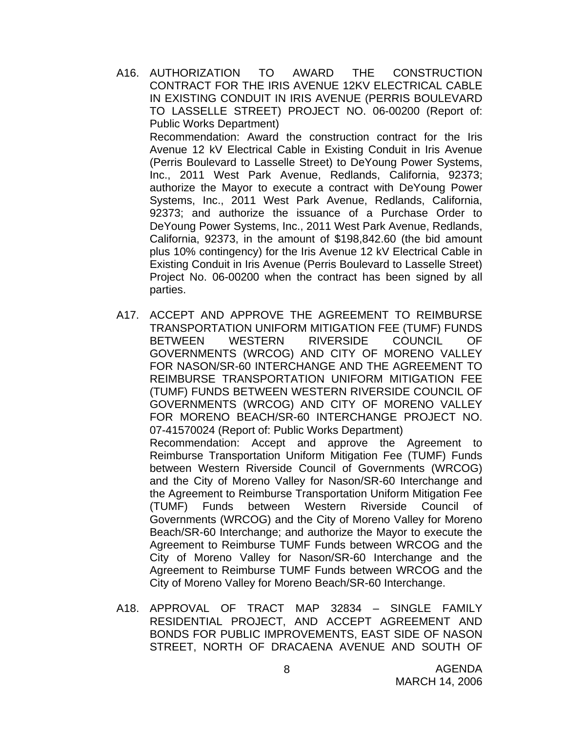A16. AUTHORIZATION TO AWARD THE CONSTRUCTION CONTRACT FOR THE IRIS AVENUE 12KV ELECTRICAL CABLE IN EXISTING CONDUIT IN IRIS AVENUE (PERRIS BOULEVARD TO LASSELLE STREET) PROJECT NO. 06-00200 (Report of: Public Works Department)

 Recommendation: Award the construction contract for the Iris Avenue 12 kV Electrical Cable in Existing Conduit in Iris Avenue (Perris Boulevard to Lasselle Street) to DeYoung Power Systems, Inc., 2011 West Park Avenue, Redlands, California, 92373; authorize the Mayor to execute a contract with DeYoung Power Systems, Inc., 2011 West Park Avenue, Redlands, California, 92373; and authorize the issuance of a Purchase Order to DeYoung Power Systems, Inc., 2011 West Park Avenue, Redlands, California, 92373, in the amount of \$198,842.60 (the bid amount plus 10% contingency) for the Iris Avenue 12 kV Electrical Cable in Existing Conduit in Iris Avenue (Perris Boulevard to Lasselle Street) Project No. 06-00200 when the contract has been signed by all parties.

- A17. ACCEPT AND APPROVE THE AGREEMENT TO REIMBURSE TRANSPORTATION UNIFORM MITIGATION FEE (TUMF) FUNDS BETWEEN WESTERN RIVERSIDE COUNCIL OF GOVERNMENTS (WRCOG) AND CITY OF MORENO VALLEY FOR NASON/SR-60 INTERCHANGE AND THE AGREEMENT TO REIMBURSE TRANSPORTATION UNIFORM MITIGATION FEE (TUMF) FUNDS BETWEEN WESTERN RIVERSIDE COUNCIL OF GOVERNMENTS (WRCOG) AND CITY OF MORENO VALLEY FOR MORENO BEACH/SR-60 INTERCHANGE PROJECT NO. 07-41570024 (Report of: Public Works Department) Recommendation: Accept and approve the Agreement to Reimburse Transportation Uniform Mitigation Fee (TUMF) Funds between Western Riverside Council of Governments (WRCOG) and the City of Moreno Valley for Nason/SR-60 Interchange and the Agreement to Reimburse Transportation Uniform Mitigation Fee (TUMF) Funds between Western Riverside Council of Governments (WRCOG) and the City of Moreno Valley for Moreno Beach/SR-60 Interchange; and authorize the Mayor to execute the Agreement to Reimburse TUMF Funds between WRCOG and the City of Moreno Valley for Nason/SR-60 Interchange and the Agreement to Reimburse TUMF Funds between WRCOG and the City of Moreno Valley for Moreno Beach/SR-60 Interchange.
- A18. APPROVAL OF TRACT MAP 32834 SINGLE FAMILY RESIDENTIAL PROJECT, AND ACCEPT AGREEMENT AND BONDS FOR PUBLIC IMPROVEMENTS, EAST SIDE OF NASON STREET, NORTH OF DRACAENA AVENUE AND SOUTH OF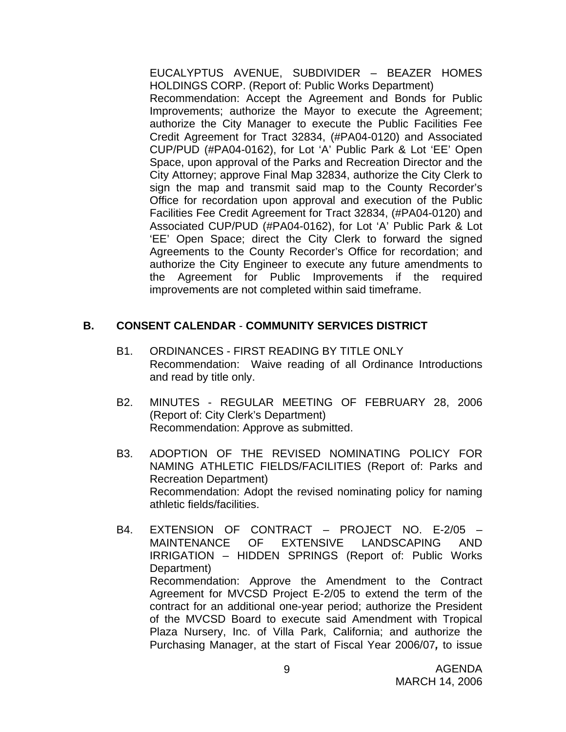EUCALYPTUS AVENUE, SUBDIVIDER – BEAZER HOMES HOLDINGS CORP. (Report of: Public Works Department) Recommendation: Accept the Agreement and Bonds for Public Improvements; authorize the Mayor to execute the Agreement; authorize the City Manager to execute the Public Facilities Fee Credit Agreement for Tract 32834, (#PA04-0120) and Associated CUP/PUD (#PA04-0162), for Lot 'A' Public Park & Lot 'EE' Open Space, upon approval of the Parks and Recreation Director and the City Attorney; approve Final Map 32834, authorize the City Clerk to sign the map and transmit said map to the County Recorder's Office for recordation upon approval and execution of the Public Facilities Fee Credit Agreement for Tract 32834, (#PA04-0120) and Associated CUP/PUD (#PA04-0162), for Lot 'A' Public Park & Lot 'EE' Open Space; direct the City Clerk to forward the signed Agreements to the County Recorder's Office for recordation; and authorize the City Engineer to execute any future amendments to the Agreement for Public Improvements if the required improvements are not completed within said timeframe.

### **B. CONSENT CALENDAR** - **COMMUNITY SERVICES DISTRICT**

- B1. ORDINANCES FIRST READING BY TITLE ONLY Recommendation: Waive reading of all Ordinance Introductions and read by title only.
- B2. MINUTES REGULAR MEETING OF FEBRUARY 28, 2006 (Report of: City Clerk's Department) Recommendation: Approve as submitted.
- B3. ADOPTION OF THE REVISED NOMINATING POLICY FOR NAMING ATHLETIC FIELDS/FACILITIES (Report of: Parks and Recreation Department) Recommendation: Adopt the revised nominating policy for naming athletic fields/facilities.
- B4. EXTENSION OF CONTRACT PROJECT NO. E-2/05 MAINTENANCE OF EXTENSIVE LANDSCAPING AND IRRIGATION – HIDDEN SPRINGS (Report of: Public Works Department) Recommendation: Approve the Amendment to the Contract Agreement for MVCSD Project E-2/05 to extend the term of the contract for an additional one-year period; authorize the President of the MVCSD Board to execute said Amendment with Tropical Plaza Nursery, Inc. of Villa Park, California; and authorize the Purchasing Manager, at the start of Fiscal Year 2006/07*,* to issue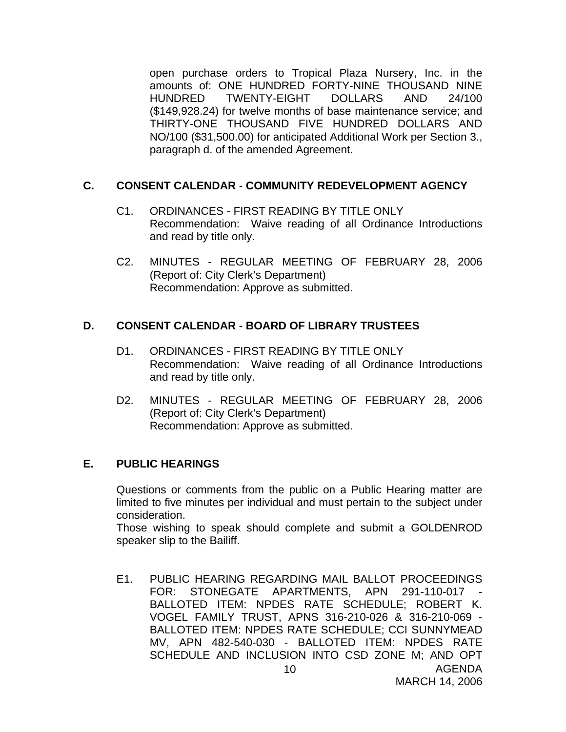open purchase orders to Tropical Plaza Nursery, Inc. in the amounts of: ONE HUNDRED FORTY-NINE THOUSAND NINE HUNDRED TWENTY-EIGHT DOLLARS AND 24/100 (\$149,928.24) for twelve months of base maintenance service; and THIRTY-ONE THOUSAND FIVE HUNDRED DOLLARS AND NO/100 (\$31,500.00) for anticipated Additional Work per Section 3., paragraph d. of the amended Agreement.

### **C. CONSENT CALENDAR** - **COMMUNITY REDEVELOPMENT AGENCY**

- C1. ORDINANCES FIRST READING BY TITLE ONLY Recommendation: Waive reading of all Ordinance Introductions and read by title only.
- C2. MINUTES REGULAR MEETING OF FEBRUARY 28, 2006 (Report of: City Clerk's Department) Recommendation: Approve as submitted.

# **D. CONSENT CALENDAR** - **BOARD OF LIBRARY TRUSTEES**

- D1. ORDINANCES FIRST READING BY TITLE ONLY Recommendation: Waive reading of all Ordinance Introductions and read by title only.
- D2. MINUTES REGULAR MEETING OF FEBRUARY 28, 2006 (Report of: City Clerk's Department) Recommendation: Approve as submitted.

### **E. PUBLIC HEARINGS**

Questions or comments from the public on a Public Hearing matter are limited to five minutes per individual and must pertain to the subject under consideration.

 Those wishing to speak should complete and submit a GOLDENROD speaker slip to the Bailiff.

AGENDA 10 E1. PUBLIC HEARING REGARDING MAIL BALLOT PROCEEDINGS FOR: STONEGATE APARTMENTS, APN 291-110-017 BALLOTED ITEM: NPDES RATE SCHEDULE; ROBERT K. VOGEL FAMILY TRUST, APNS 316-210-026 & 316-210-069 - BALLOTED ITEM: NPDES RATE SCHEDULE; CCI SUNNYMEAD MV, APN 482-540-030 - BALLOTED ITEM: NPDES RATE SCHEDULE AND INCLUSION INTO CSD ZONE M; AND OPT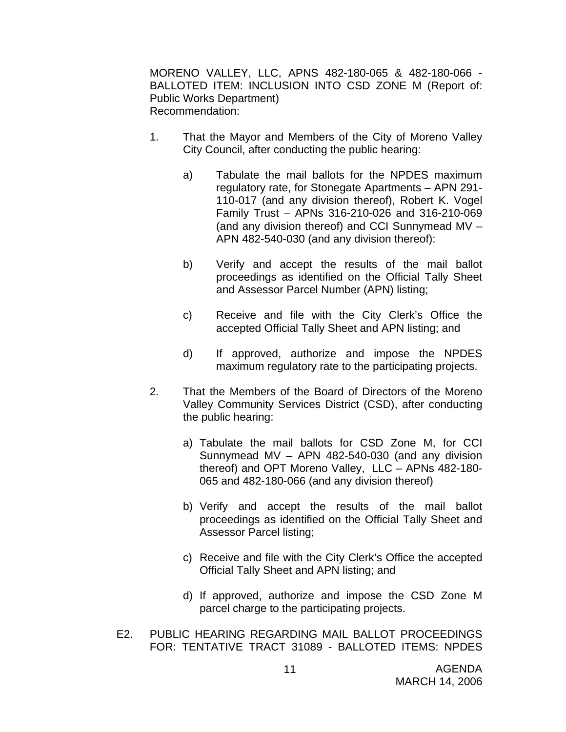MORENO VALLEY, LLC, APNS 482-180-065 & 482-180-066 - BALLOTED ITEM: INCLUSION INTO CSD ZONE M (Report of: Public Works Department) Recommendation:

- 1. That the Mayor and Members of the City of Moreno Valley City Council, after conducting the public hearing:
	- a) Tabulate the mail ballots for the NPDES maximum regulatory rate, for Stonegate Apartments – APN 291- 110-017 (and any division thereof), Robert K. Vogel Family Trust – APNs 316-210-026 and 316-210-069 (and any division thereof) and CCI Sunnymead MV – APN 482-540-030 (and any division thereof):
	- b) Verify and accept the results of the mail ballot proceedings as identified on the Official Tally Sheet and Assessor Parcel Number (APN) listing;
	- c) Receive and file with the City Clerk's Office the accepted Official Tally Sheet and APN listing; and
	- d) If approved, authorize and impose the NPDES maximum regulatory rate to the participating projects.
- 2. That the Members of the Board of Directors of the Moreno Valley Community Services District (CSD), after conducting the public hearing:
	- a) Tabulate the mail ballots for CSD Zone M, for CCI Sunnymead MV – APN 482-540-030 (and any division thereof) and OPT Moreno Valley, LLC – APNs 482-180- 065 and 482-180-066 (and any division thereof)
	- b) Verify and accept the results of the mail ballot proceedings as identified on the Official Tally Sheet and Assessor Parcel listing;
	- c) Receive and file with the City Clerk's Office the accepted Official Tally Sheet and APN listing; and
	- d) If approved, authorize and impose the CSD Zone M parcel charge to the participating projects.
- E2. PUBLIC HEARING REGARDING MAIL BALLOT PROCEEDINGS FOR: TENTATIVE TRACT 31089 - BALLOTED ITEMS: NPDES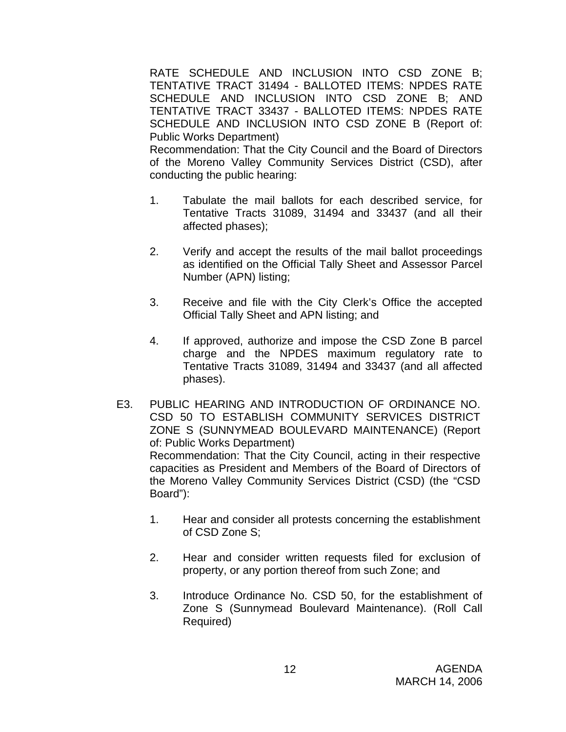RATE SCHEDULE AND INCLUSION INTO CSD ZONE B; TENTATIVE TRACT 31494 - BALLOTED ITEMS: NPDES RATE SCHEDULE AND INCLUSION INTO CSD ZONE B; AND TENTATIVE TRACT 33437 - BALLOTED ITEMS: NPDES RATE SCHEDULE AND INCLUSION INTO CSD ZONE B (Report of: Public Works Department)

 Recommendation: That the City Council and the Board of Directors of the Moreno Valley Community Services District (CSD), after conducting the public hearing:

- 1. Tabulate the mail ballots for each described service, for Tentative Tracts 31089, 31494 and 33437 (and all their affected phases);
- 2. Verify and accept the results of the mail ballot proceedings as identified on the Official Tally Sheet and Assessor Parcel Number (APN) listing;
- 3. Receive and file with the City Clerk's Office the accepted Official Tally Sheet and APN listing; and
- 4. If approved, authorize and impose the CSD Zone B parcel charge and the NPDES maximum regulatory rate to Tentative Tracts 31089, 31494 and 33437 (and all affected phases).
- E3. PUBLIC HEARING AND INTRODUCTION OF ORDINANCE NO. CSD 50 TO ESTABLISH COMMUNITY SERVICES DISTRICT ZONE S (SUNNYMEAD BOULEVARD MAINTENANCE) (Report of: Public Works Department) Recommendation: That the City Council, acting in their respective capacities as President and Members of the Board of Directors of the Moreno Valley Community Services District (CSD) (the "CSD Board"):
	- 1. Hear and consider all protests concerning the establishment of CSD Zone S;
	- 2. Hear and consider written requests filed for exclusion of property, or any portion thereof from such Zone; and
	- 3. Introduce Ordinance No. CSD 50, for the establishment of Zone S (Sunnymead Boulevard Maintenance). (Roll Call Required)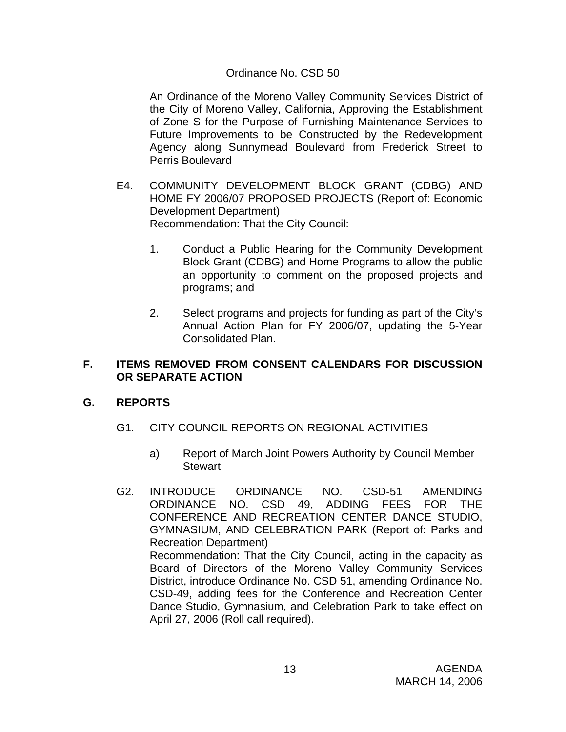# Ordinance No. CSD 50

 An Ordinance of the Moreno Valley Community Services District of the City of Moreno Valley, California, Approving the Establishment of Zone S for the Purpose of Furnishing Maintenance Services to Future Improvements to be Constructed by the Redevelopment Agency along Sunnymead Boulevard from Frederick Street to Perris Boulevard

- E4. COMMUNITY DEVELOPMENT BLOCK GRANT (CDBG) AND HOME FY 2006/07 PROPOSED PROJECTS (Report of: Economic Development Department) Recommendation: That the City Council:
	- 1. Conduct a Public Hearing for the Community Development Block Grant (CDBG) and Home Programs to allow the public an opportunity to comment on the proposed projects and programs; and
	- 2. Select programs and projects for funding as part of the City's Annual Action Plan for FY 2006/07, updating the 5-Year Consolidated Plan.

### **F. ITEMS REMOVED FROM CONSENT CALENDARS FOR DISCUSSION OR SEPARATE ACTION**

# **G. REPORTS**

- G1. CITY COUNCIL REPORTS ON REGIONAL ACTIVITIES
	- a) Report of March Joint Powers Authority by Council Member Stewart
- G2. INTRODUCE ORDINANCE NO. CSD-51 AMENDING ORDINANCE NO. CSD 49, ADDING FEES FOR THE CONFERENCE AND RECREATION CENTER DANCE STUDIO, GYMNASIUM, AND CELEBRATION PARK (Report of: Parks and Recreation Department) Recommendation: That the City Council, acting in the capacity as Board of Directors of the Moreno Valley Community Services District, introduce Ordinance No. CSD 51, amending Ordinance No. CSD-49, adding fees for the Conference and Recreation Center Dance Studio, Gymnasium, and Celebration Park to take effect on April 27, 2006 (Roll call required).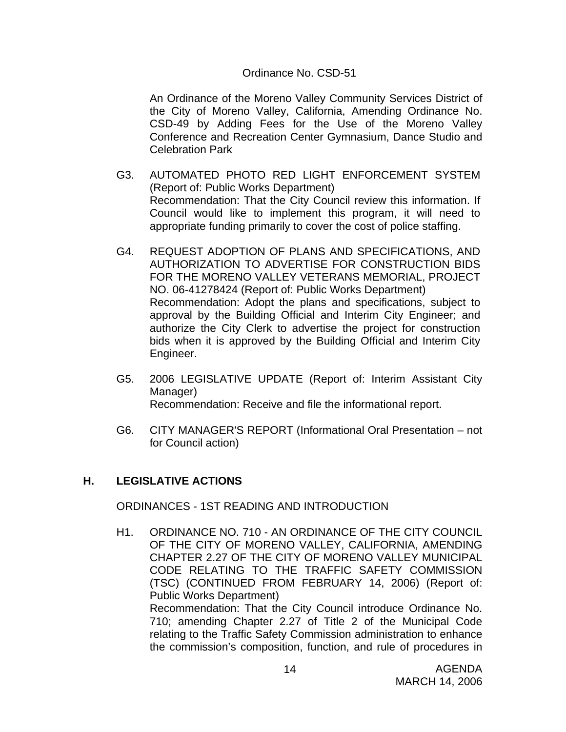#### Ordinance No. CSD-51

 An Ordinance of the Moreno Valley Community Services District of the City of Moreno Valley, California, Amending Ordinance No. CSD-49 by Adding Fees for the Use of the Moreno Valley Conference and Recreation Center Gymnasium, Dance Studio and Celebration Park

- G3. AUTOMATED PHOTO RED LIGHT ENFORCEMENT SYSTEM (Report of: Public Works Department) Recommendation: That the City Council review this information. If Council would like to implement this program, it will need to appropriate funding primarily to cover the cost of police staffing.
- G4. REQUEST ADOPTION OF PLANS AND SPECIFICATIONS, AND AUTHORIZATION TO ADVERTISE FOR CONSTRUCTION BIDS FOR THE MORENO VALLEY VETERANS MEMORIAL, PROJECT NO. 06-41278424 (Report of: Public Works Department) Recommendation: Adopt the plans and specifications, subject to approval by the Building Official and Interim City Engineer; and authorize the City Clerk to advertise the project for construction bids when it is approved by the Building Official and Interim City Engineer.
- G5. 2006 LEGISLATIVE UPDATE (Report of: Interim Assistant City Manager) Recommendation: Receive and file the informational report.
- G6. CITY MANAGER'S REPORT (Informational Oral Presentation not for Council action)

### **H. LEGISLATIVE ACTIONS**

ORDINANCES - 1ST READING AND INTRODUCTION

H1. ORDINANCE NO. 710 - AN ORDINANCE OF THE CITY COUNCIL OF THE CITY OF MORENO VALLEY, CALIFORNIA, AMENDING CHAPTER 2.27 OF THE CITY OF MORENO VALLEY MUNICIPAL CODE RELATING TO THE TRAFFIC SAFETY COMMISSION (TSC) (CONTINUED FROM FEBRUARY 14, 2006) (Report of: Public Works Department) Recommendation: That the City Council introduce Ordinance No. 710; amending Chapter 2.27 of Title 2 of the Municipal Code

relating to the Traffic Safety Commission administration to enhance the commission's composition, function, and rule of procedures in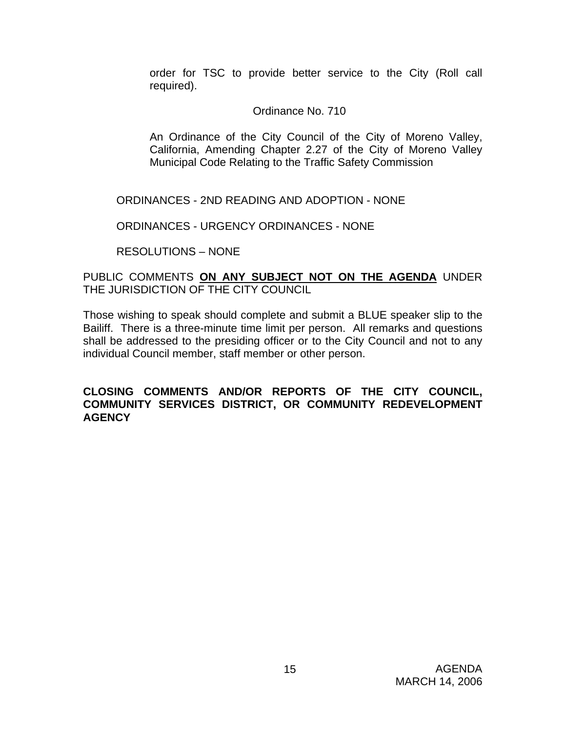order for TSC to provide better service to the City (Roll call required).

# Ordinance No. 710

An Ordinance of the City Council of the City of Moreno Valley, California, Amending Chapter 2.27 of the City of Moreno Valley Municipal Code Relating to the Traffic Safety Commission

ORDINANCES - 2ND READING AND ADOPTION - NONE

ORDINANCES - URGENCY ORDINANCES - NONE

RESOLUTIONS – NONE

# PUBLIC COMMENTS **ON ANY SUBJECT NOT ON THE AGENDA** UNDER THE JURISDICTION OF THE CITY COUNCIL

Those wishing to speak should complete and submit a BLUE speaker slip to the Bailiff. There is a three-minute time limit per person. All remarks and questions shall be addressed to the presiding officer or to the City Council and not to any individual Council member, staff member or other person.

### **CLOSING COMMENTS AND/OR REPORTS OF THE CITY COUNCIL, COMMUNITY SERVICES DISTRICT, OR COMMUNITY REDEVELOPMENT AGENCY**